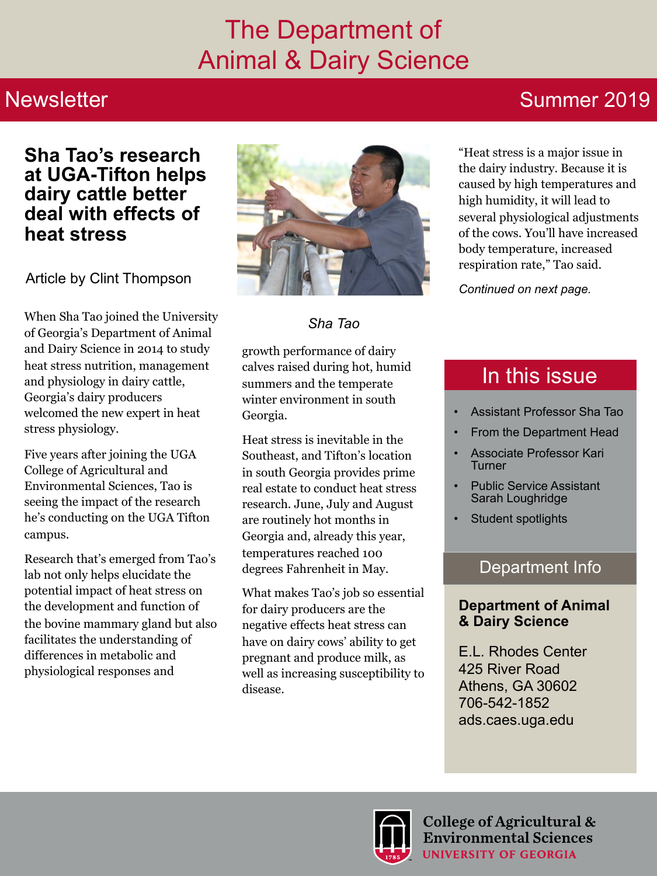## The Department of Animal & Dairy Science

### **Newsletter**

## Summer 2019

### **Sha Tao's research at UGA-Tifton helps dairy cattle better deal with effects of heat stress**

Article by Clint Thompson

When Sha Tao joined the University of Georgia's Department of Animal and Dairy Science in 2014 to study heat stress nutrition, management and physiology in dairy cattle, Georgia's dairy producers welcomed the new expert in heat stress physiology.

Five years after joining the UGA College of Agricultural and Environmental Sciences, Tao is seeing the impact of the research he's conducting on the UGA Tifton campus.

Research that's emerged from Tao's lab not only helps elucidate the potential impact of heat stress on the development and function of the bovine mammary gland but also facilitates the understanding of differences in metabolic and physiological responses and



*Sha Tao*

growth performance of dairy calves raised during hot, humid summers and the temperate winter environment in south Georgia.

Heat stress is inevitable in the Southeast, and Tifton's location in south Georgia provides prime real estate to conduct heat stress research. June, July and August are routinely hot months in Georgia and, already this year, temperatures reached 100 degrees Fahrenheit in May.

What makes Tao's job so essential for dairy producers are the negative effects heat stress can have on dairy cows' ability to get pregnant and produce milk, as well as increasing susceptibility to disease.

"Heat stress is a major issue in the dairy industry. Because it is caused by high temperatures and high humidity, it will lead to several physiological adjustments of the cows. You'll have increased body temperature, increased respiration rate," Tao said.

*Continued on next page.* 

## In this issue

- Assistant Professor Sha Tao
- From the Department Head
- Associate Professor Kari **Turner**
- Public Service Assistant Sarah Loughridge
- Student spotlights

### Department Info

### **Department of Animal & Dairy Science**

E.L. Rhodes Center 425 River Road Athens, GA 30602 706-542-1852 ads.caes.uga.edu

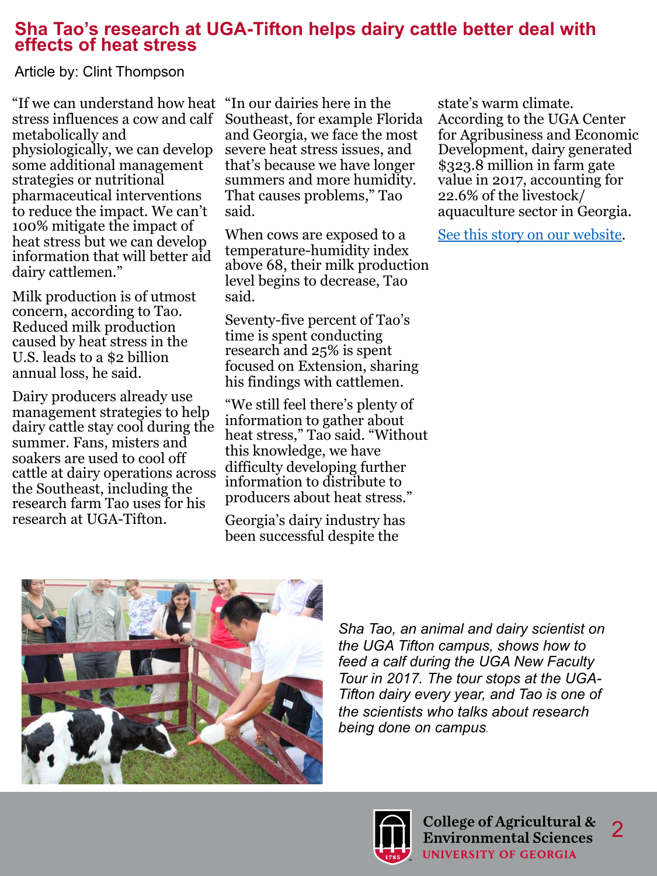### **Sha Tao's research at UGA-Tifton helps dairy cattle better deal with effects of heat stress**

Article by: Clint Thompson

"If we can understand how heat stress influences a cow and calf metabolically and physiologically, we can develop some additional management strategies or nutritional pharmaceutical interventions to reduce the impact. We can't 100% mitigate the impact of heat stress but we can develop information that will better aid dairy cattlemen."

Milk production is of utmost concern, according to Tao. Reduced milk production caused by heat stress in the U.S. leads to a \$2 billion annual loss, he said.

Dairy producers already use management strategies to help dairy cattle stay cool during the summer. Fans, misters and soakers are used to cool off cattle at dairy operations across the Southeast, including the research farm Tao uses for his research at UGA-Tifton.

"In our dairies here in the Southeast, for example Florida and Georgia, we face the most severe heat stress issues, and that's because we have longer summers and more humidity. That causes problems," Tao said.

When cows are exposed to a temperature-humidity index above 68, their milk production level begins to decrease, Tao said.

Seventy-five percent of Tao's time is spent conducting research and 25% is spent focused on Extension, sharing his findings with cattlemen.

"We still feel there's plenty of information to gather about heat stress," Tao said. "Without this knowledge, we have difficulty developing further information to distribute to producers about heat stress."

Georgia's dairy industry has been successful despite the

state's warm climate. According to the UGA Center for Agribusiness and Economic Development, dairy generated \$323.8 million in farm gate value in 2017, accounting for 22.6% of the livestock/ aquaculture sector in Georgia.

[See this story on our website](https://ads.caes.uga.edu/news/story.html?storyid=8004&story=Heat-Stress).



*Sha Tao, an animal and dairy scientist on the UGA Tifton campus, shows how to feed a calf during the UGA New Faculty Tour in 2017. The tour stops at the UGA-Tifton dairy every year, and Tao is one of the scientists who talks about research being done on campus.*

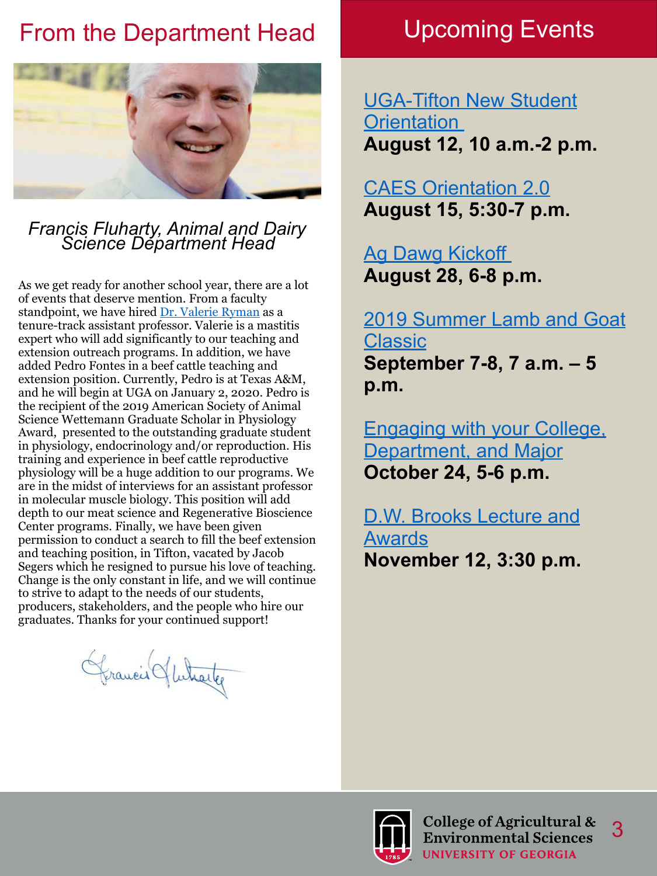## From the Department Head Upcoming Events



# *Francis Fluharty, Animal and Dairy Science Department Head*

As we get ready for another school year, there are a lot of events that deserve mention. From a faculty standpoint, we have hired [Dr. Valerie Ryman](https://ads.caes.uga.edu/people/faculty/valerie-ryman.html) as a tenure-track assistant professor. Valerie is a mastitis expert who will add significantly to our teaching and extension outreach programs. In addition, we have added Pedro Fontes in a beef cattle teaching and extension position. Currently, Pedro is at Texas A&M, and he will begin at UGA on January 2, 2020. Pedro is the recipient of the 2019 American Society of Animal Science Wettemann Graduate Scholar in Physiology Award, presented to the outstanding graduate student in physiology, endocrinology and/or reproduction. His training and experience in beef cattle reproductive physiology will be a huge addition to our programs. We are in the midst of interviews for an assistant professor in molecular muscle biology. This position will add depth to our meat science and Regenerative Bioscience Center programs. Finally, we have been given permission to conduct a search to fill the beef extension and teaching position, in Tifton, vacated by Jacob Segers which he resigned to pursue his love of teaching. Change is the only constant in life, and we will continue to strive to adapt to the needs of our students, producers, stakeholders, and the people who hire our graduates. Thanks for your continued support!

Grancis Hutrette

[UGA-Tifton New Student](https://ads.caes.uga.edu/content/caes-subsite/animal-dairy-science/calendar/event.html?eventid=1532&event=Summer-Student-Worker-Luncheon---UGA-Tifton-campus)  **Orientation August 12, 10 a.m.-2 p.m.** 

### [CAES Orientation 2.0](https://ads.caes.uga.edu/content/caes-subsite/animal-dairy-science/calendar/event.html?eventid=1541&event=CAES-Orientation-2.0) **August 15, 5:30-7 p.m.**

[Ag Dawg Kickoff](https://ads.caes.uga.edu/calendar/event.html?eventid=1515&event=Ag-Dawg-Kickoff)  **August 28, 6-8 p.m.** 

[2019 Summer Lamb and Goat](https://ads.caes.uga.edu/calendar/event.html?eventid=1548&event=2019-Summer-Lamb-and-Goat-Classic)  [Classic](https://ads.caes.uga.edu/calendar/event.html?eventid=1548&event=2019-Summer-Lamb-and-Goat-Classic) **September 7-8, 7 a.m. – 5 p.m.** 

[Engaging with your College,](https://ads.caes.uga.edu/calendar/event.html?eventid=1540&event=Engaging-with-your-College,-Department-and-Major)  [Department, and Major](https://ads.caes.uga.edu/calendar/event.html?eventid=1540&event=Engaging-with-your-College,-Department-and-Major) **October 24, 5-6 p.m.** 

[D.W. Brooks Lecture and](https://dwbrooks.caes.uga.edu/)  [Awards](https://dwbrooks.caes.uga.edu/) **November 12, 3:30 p.m.** 

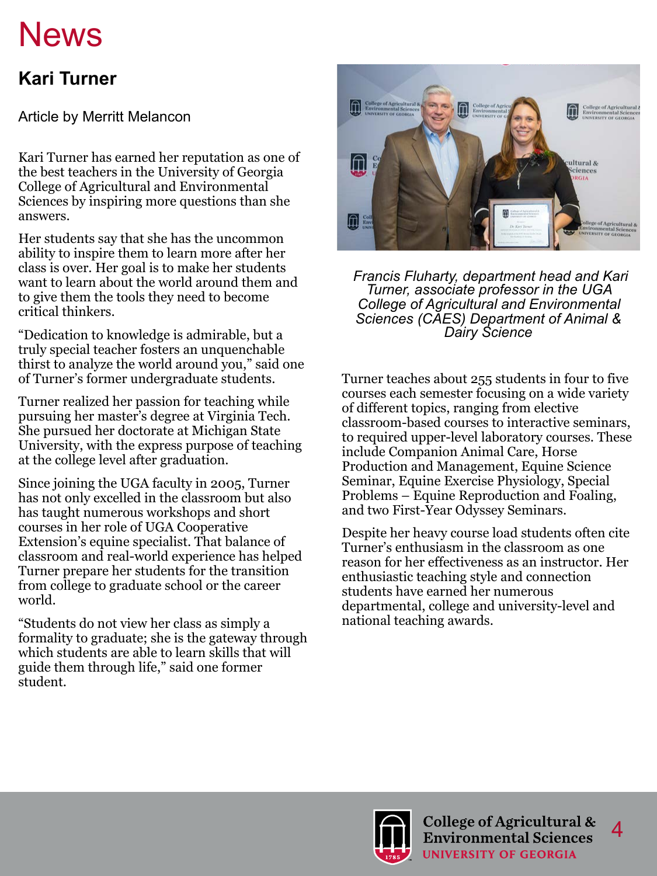# **News**

### **Kari Turner**

Article by Merritt Melancon

Kari Turner has earned her reputation as one of the best teachers in the University of Georgia College of Agricultural and Environmental Sciences by inspiring more questions than she answers.

Her students say that she has the uncommon ability to inspire them to learn more after her class is over. Her goal is to make her students want to learn about the world around them and to give them the tools they need to become critical thinkers.

"Dedication to knowledge is admirable, but a truly special teacher fosters an unquenchable thirst to analyze the world around you," said one of Turner's former undergraduate students.

Turner realized her passion for teaching while pursuing her master's degree at Virginia Tech. She pursued her doctorate at Michigan State University, with the express purpose of teaching at the college level after graduation.

Since joining the UGA faculty in 2005, Turner has not only excelled in the classroom but also has taught numerous workshops and short courses in her role of UGA Cooperative Extension's equine specialist. That balance of classroom and real-world experience has helped Turner prepare her students for the transition from college to graduate school or the career world.

"Students do not view her class as simply a formality to graduate; she is the gateway through which students are able to learn skills that will guide them through life," said one former student.



 *Francis Fluharty, department head and Kari Turner, associate professor in the UGA College of Agricultural and Environmental Sciences (CAES) Department of Animal & Dairy Science*

Turner teaches about 255 students in four to five courses each semester focusing on a wide variety of different topics, ranging from elective classroom-based courses to interactive seminars, to required upper-level laboratory courses. These include Companion Animal Care, Horse Production and Management, Equine Science Seminar, Equine Exercise Physiology, Special Problems – Equine Reproduction and Foaling, and two First-Year Odyssey Seminars.

Despite her heavy course load students often cite Turner's enthusiasm in the classroom as one reason for her effectiveness as an instructor. Her enthusiastic teaching style and connection students have earned her numerous departmental, college and university-level and national teaching awards.



 $\boldsymbol{\varDelta}$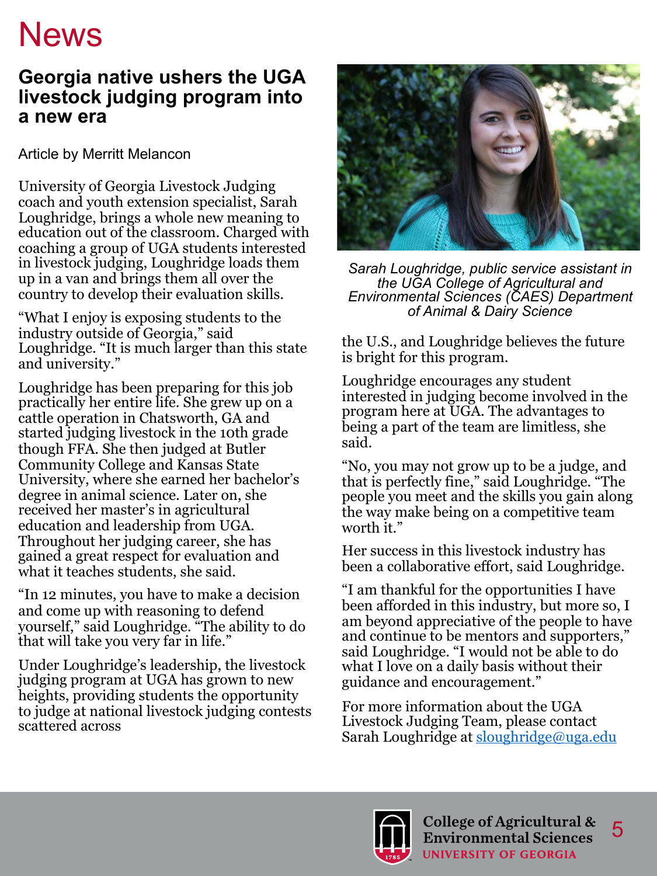# **News**

### **Georgia native ushers the UGA livestock judging program into a new era**

Article by Merritt Melancon

University of Georgia Livestock Judging coach and youth extension specialist, Sarah Loughridge, brings a whole new meaning to education out of the classroom. Charged with coaching a group of UGA students interested in livestock judging, Loughridge loads them up in a van and brings them all over the country to develop their evaluation skills.

"What I enjoy is exposing students to the industry outside of Georgia," said Loughridge. "It is much larger than this state and university."

Loughridge has been preparing for this job practically her entire life. She grew up on a cattle operation in Chatsworth, GA and started judging livestock in the 10th grade though FFA. She then judged at Butler Community College and Kansas State University, where she earned her bachelor's degree in animal science. Later on, she received her master's in agricultural education and leadership from UGA. Throughout her judging career, she has gained a great respect for evaluation and what it teaches students, she said.

"In 12 minutes, you have to make a decision and come up with reasoning to defend yourself," said Loughridge. "The ability to do that will take you very far in life."

Under Loughridge's leadership, the livestock judging program at UGA has grown to new heights, providing students the opportunity to judge at national livestock judging contests scattered across



*Sarah Loughridge, public service assistant in the UGA College of Agricultural and Environmental Sciences (CAES) Department of Animal & Dairy Science*

the U.S., and Loughridge believes the future is bright for this program.

Loughridge encourages any student interested in judging become involved in the program here at UGA. The advantages to being a part of the team are limitless, she said.

"No, you may not grow up to be a judge, and that is perfectly fine," said Loughridge. "The people you meet and the skills you gain along the way make being on a competitive team worth it."

Her success in this livestock industry has been a collaborative effort, said Loughridge.

"I am thankful for the opportunities I have been afforded in this industry, but more so, I am beyond appreciative of the people to have and continue to be mentors and supporters," said Loughridge. "I would not be able to do what I love on a daily basis without their guidance and encouragement."

For more information about the UGA Livestock Judging Team, please contact Sarah Loughridge at sloughridge@uga.edu

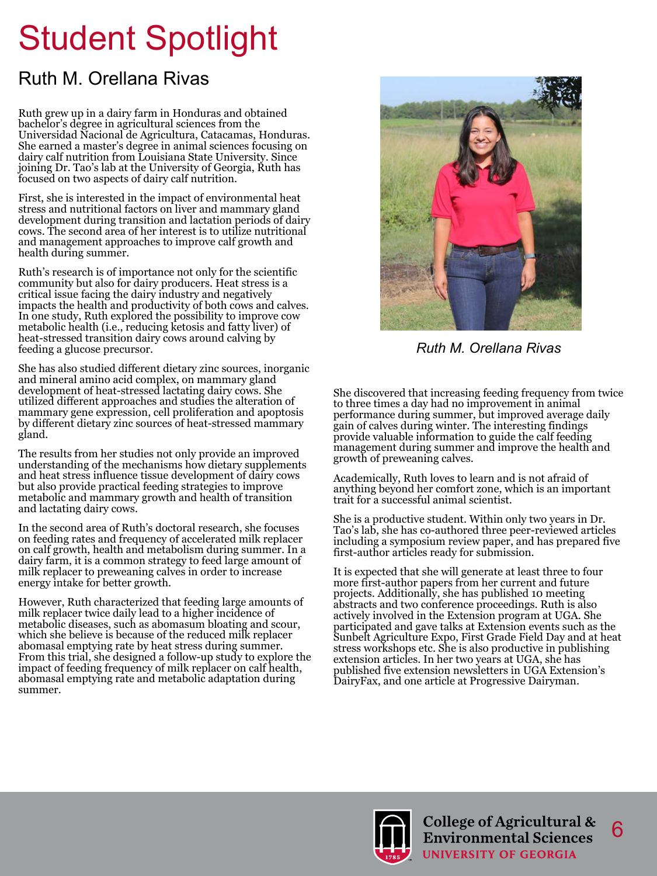# Student Spotlight

### Ruth M. Orellana Rivas

Ruth grew up in a dairy farm in Honduras and obtained bachelor's degree in agricultural sciences from the Universidad Nacional de Agricultura, Catacamas, Honduras. She earned a master's degree in animal sciences focusing on dairy calf nutrition from Louisiana State University. Since joining Dr. Tao's lab at the University of Georgia, Ruth has focused on two aspects of dairy calf nutrition.

First, she is interested in the impact of environmental heat stress and nutritional factors on liver and mammary gland development during transition and lactation periods of dairy cows. The second area of her interest is to utilize nutritional and management approaches to improve calf growth and health during summer.

Ruth's research is of importance not only for the scientific community but also for dairy producers. Heat stress is a critical issue facing the dairy industry and negatively impacts the health and productivity of both cows and calves. In one study, Ruth explored the possibility to improve cow metabolic health (i.e., reducing ketosis and fatty liver) of heat-stressed transition dairy cows around calving by feeding a glucose precursor.

She has also studied different dietary zinc sources, inorganic and mineral amino acid complex, on mammary gland development of heat-stressed lactating dairy cows. She utilized different approaches and studies the alteration of mammary gene expression, cell proliferation and apoptosis by different dietary zinc sources of heat-stressed mammary gland.

The results from her studies not only provide an improved understanding of the mechanisms how dietary supplements and heat stress influence tissue development of dairy cows but also provide practical feeding strategies to improve metabolic and mammary growth and health of transition and lactating dairy cows.

In the second area of Ruth's doctoral research, she focuses on feeding rates and frequency of accelerated milk replacer on calf growth, health and metabolism during summer. In a dairy farm, it is a common strategy to feed large amount of milk replacer to preweaning calves in order to increase energy intake for better growth.

However, Ruth characterized that feeding large amounts of milk replacer twice daily lead to a higher incidence of metabolic diseases, such as abomasum bloating and scour, which she believe is because of the reduced milk replacer abomasal emptying rate by heat stress during summer. From this trial, she designed a follow-up study to explore the impact of feeding frequency of milk replacer on calf health, abomasal emptying rate and metabolic adaptation during summer.



*Ruth M. Orellana Rivas*

She discovered that increasing feeding frequency from twice to three times a day had no improvement in animal performance during summer, but improved average daily gain of calves during winter. The interesting findings provide valuable information to guide the calf feeding management during summer and improve the health and growth of preweaning calves.

Academically, Ruth loves to learn and is not afraid of anything beyond her comfort zone, which is an important trait for a successful animal scientist.

She is a productive student. Within only two years in Dr. Tao's lab, she has co-authored three peer-reviewed articles including a symposium review paper, and has prepared five first-author articles ready for submission.

It is expected that she will generate at least three to four more first-author papers from her current and future projects. Additionally, she has published 10 meeting abstracts and two conference proceedings. Ruth is also actively involved in the Extension program at UGA. She participated and gave talks at Extension events such as the Sunbelt Agriculture Expo, First Grade Field Day and at heat stress workshops etc. She is also productive in publishing extension articles. In her two years at UGA, she has published five extension newsletters in UGA Extension's DairyFax, and one article at Progressive Dairyman.